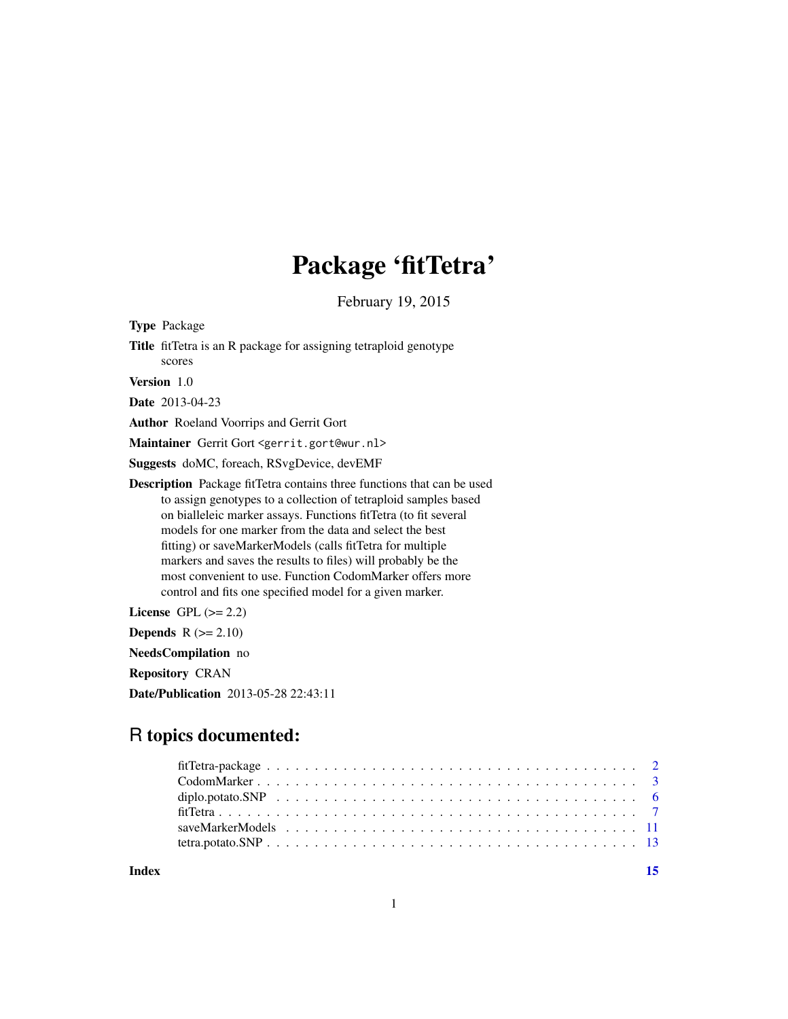## Package 'fitTetra'

February 19, 2015

Type Package Title fitTetra is an R package for assigning tetraploid genotype scores Version 1.0 Date 2013-04-23 Author Roeland Voorrips and Gerrit Gort Maintainer Gerrit Gort <gerrit.gort@wur.nl> Suggests doMC, foreach, RSvgDevice, devEMF Description Package fitTetra contains three functions that can be used to assign genotypes to a collection of tetraploid samples based on bialleleic marker assays. Functions fitTetra (to fit several models for one marker from the data and select the best fitting) or saveMarkerModels (calls fitTetra for multiple markers and saves the results to files) will probably be the most convenient to use. Function CodomMarker offers more control and fits one specified model for a given marker. License GPL  $(>= 2.2)$ Depends  $R$  ( $>= 2.10$ ) NeedsCompilation no Repository CRAN

Date/Publication 2013-05-28 22:43:11

## R topics documented:

**Index** [15](#page-14-0)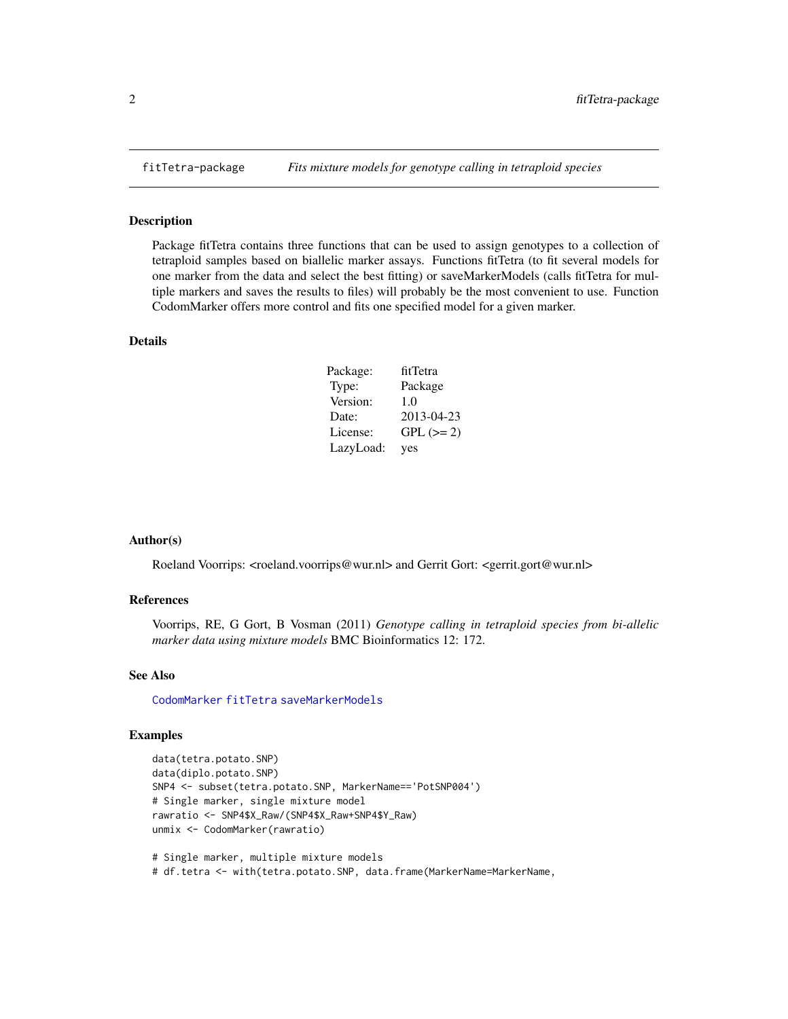#### Description

Package fitTetra contains three functions that can be used to assign genotypes to a collection of tetraploid samples based on biallelic marker assays. Functions fitTetra (to fit several models for one marker from the data and select the best fitting) or saveMarkerModels (calls fitTetra for multiple markers and saves the results to files) will probably be the most convenient to use. Function CodomMarker offers more control and fits one specified model for a given marker.

## Details

| Package:  | fitTetra    |
|-----------|-------------|
| Type:     | Package     |
| Version:  | 1.0         |
| Date:     | 2013-04-23  |
| License:  | $GPL (= 2)$ |
| LazyLoad: | yes         |

#### Author(s)

Roeland Voorrips: <roeland.voorrips@wur.nl> and Gerrit Gort: <gerrit.gort@wur.nl>

#### References

Voorrips, RE, G Gort, B Vosman (2011) *Genotype calling in tetraploid species from bi-allelic marker data using mixture models* BMC Bioinformatics 12: 172.

## See Also

[CodomMarker](#page-2-1) [fitTetra](#page-6-1) [saveMarkerModels](#page-10-1)

## Examples

```
data(tetra.potato.SNP)
data(diplo.potato.SNP)
SNP4 <- subset(tetra.potato.SNP, MarkerName=='PotSNP004')
# Single marker, single mixture model
rawratio <- SNP4$X_Raw/(SNP4$X_Raw+SNP4$Y_Raw)
unmix <- CodomMarker(rawratio)
```
# Single marker, multiple mixture models # df.tetra <- with(tetra.potato.SNP, data.frame(MarkerName=MarkerName,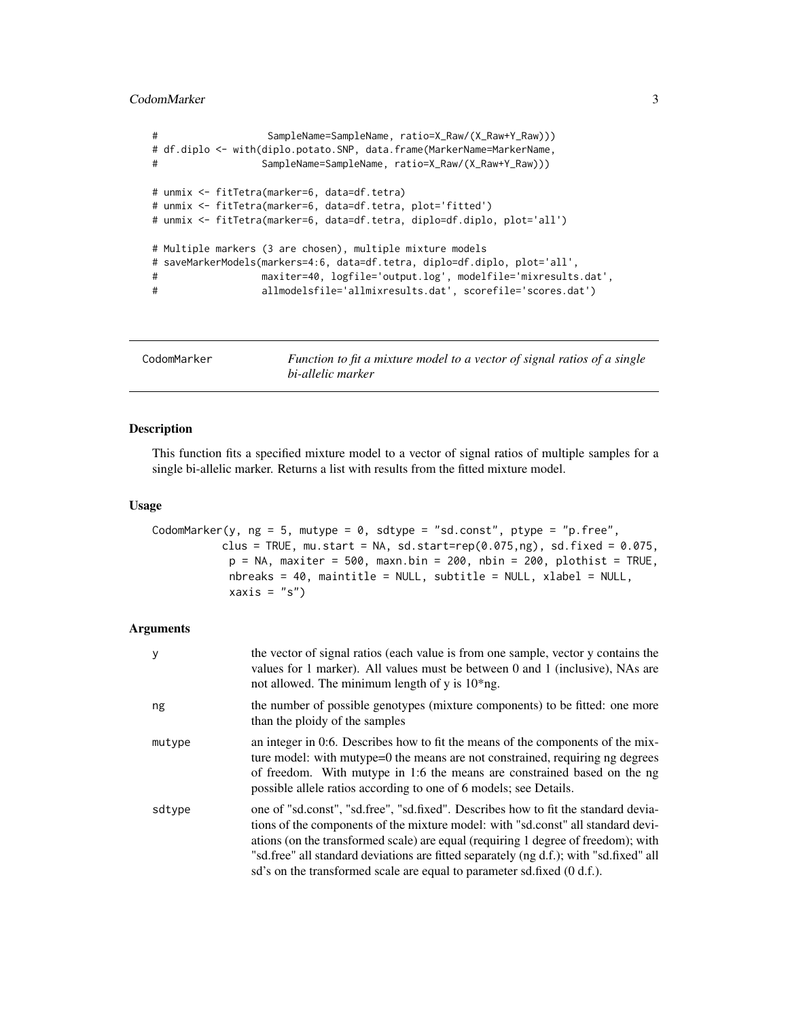## <span id="page-2-0"></span>CodomMarker 3

```
# SampleName=SampleName, ratio=X_Raw/(X_Raw+Y_Raw)))
# df.diplo <- with(diplo.potato.SNP, data.frame(MarkerName=MarkerName,
# SampleName=SampleName, ratio=X_Raw/(X_Raw+Y_Raw)))
# unmix <- fitTetra(marker=6, data=df.tetra)
# unmix <- fitTetra(marker=6, data=df.tetra, plot='fitted')
# unmix <- fitTetra(marker=6, data=df.tetra, diplo=df.diplo, plot='all')
# Multiple markers (3 are chosen), multiple mixture models
# saveMarkerModels(markers=4:6, data=df.tetra, diplo=df.diplo, plot='all',
# maxiter=40, logfile='output.log', modelfile='mixresults.dat',
# allmodelsfile='allmixresults.dat', scorefile='scores.dat')
```
<span id="page-2-1"></span>CodomMarker *Function to fit a mixture model to a vector of signal ratios of a single bi-allelic marker*

## Description

This function fits a specified mixture model to a vector of signal ratios of multiple samples for a single bi-allelic marker. Returns a list with results from the fitted mixture model.

#### Usage

```
CodomMarker(y, ng = 5, mutype = 0, sdtype = "sd.const", ptype = "p.free",
          clus = TRUE, mu.start = NA, sd.start=rep(0.075,ng), sd.fixed = 0.075,
            p = NA, maxiter = 500, maxn.bin = 200, nbin = 200, plothist = TRUE,
            nbreaks = 40, maintitle = NULL, subtitle = NULL, xlabel = NULL,
            xaxis = "s")
```
## Arguments

| У      | the vector of signal ratios (each value is from one sample, vector y contains the<br>values for 1 marker). All values must be between 0 and 1 (inclusive), NAs are<br>not allowed. The minimum length of y is $10^*$ ng.                                                                                                                                                                                                         |
|--------|----------------------------------------------------------------------------------------------------------------------------------------------------------------------------------------------------------------------------------------------------------------------------------------------------------------------------------------------------------------------------------------------------------------------------------|
| ng     | the number of possible genotypes (mixture components) to be fitted: one more<br>than the ploidy of the samples                                                                                                                                                                                                                                                                                                                   |
| mutype | an integer in 0.6. Describes how to fit the means of the components of the mix-<br>ture model: with mutype=0 the means are not constrained, requiring ng degrees<br>of freedom. With mutype in 1:6 the means are constrained based on the ng<br>possible allele ratios according to one of 6 models; see Details.                                                                                                                |
| sdtype | one of "sd.const", "sd.free", "sd.fixed". Describes how to fit the standard devia-<br>tions of the components of the mixture model: with "sd.const" all standard devi-<br>ations (on the transformed scale) are equal (requiring 1 degree of freedom); with<br>"sd.free" all standard deviations are fitted separately (ng d.f.); with "sd.fixed" all<br>sd's on the transformed scale are equal to parameter sd.fixed (0 d.f.). |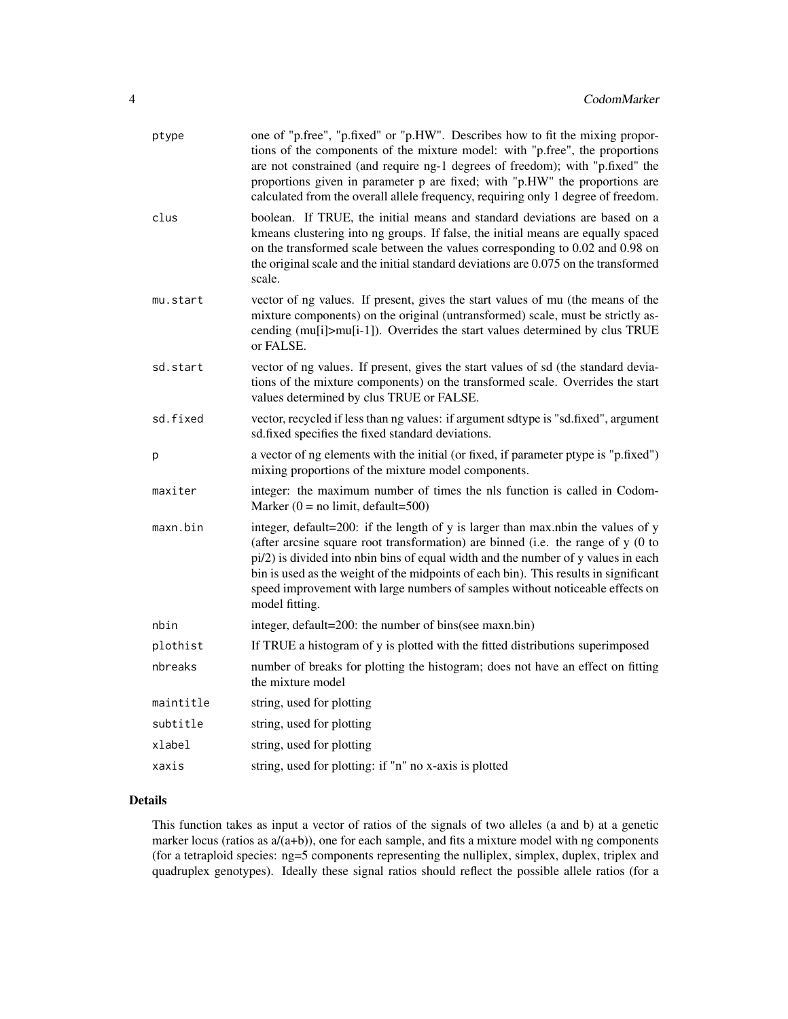| ptype     | one of "p.free", "p.fixed" or "p.HW". Describes how to fit the mixing propor-<br>tions of the components of the mixture model: with "p.free", the proportions<br>are not constrained (and require ng-1 degrees of freedom); with "p.fixed" the<br>proportions given in parameter p are fixed; with "p.HW" the proportions are<br>calculated from the overall allele frequency, requiring only 1 degree of freedom.                                   |
|-----------|------------------------------------------------------------------------------------------------------------------------------------------------------------------------------------------------------------------------------------------------------------------------------------------------------------------------------------------------------------------------------------------------------------------------------------------------------|
| clus      | boolean. If TRUE, the initial means and standard deviations are based on a<br>kmeans clustering into ng groups. If false, the initial means are equally spaced<br>on the transformed scale between the values corresponding to 0.02 and 0.98 on<br>the original scale and the initial standard deviations are 0.075 on the transformed<br>scale.                                                                                                     |
| mu.start  | vector of ng values. If present, gives the start values of mu (the means of the<br>mixture components) on the original (untransformed) scale, must be strictly as-<br>cending (mu[i]>mu[i-1]). Overrides the start values determined by clus TRUE<br>or FALSE.                                                                                                                                                                                       |
| sd.start  | vector of ng values. If present, gives the start values of sd (the standard devia-<br>tions of the mixture components) on the transformed scale. Overrides the start<br>values determined by clus TRUE or FALSE.                                                                                                                                                                                                                                     |
| sd.fixed  | vector, recycled if less than ng values: if argument sdtype is "sd.fixed", argument<br>sd.fixed specifies the fixed standard deviations.                                                                                                                                                                                                                                                                                                             |
| p         | a vector of ng elements with the initial (or fixed, if parameter ptype is "p.fixed")<br>mixing proportions of the mixture model components.                                                                                                                                                                                                                                                                                                          |
| maxiter   | integer: the maximum number of times the nls function is called in Codom-<br>Marker $(0 = no limit, default = 500)$                                                                                                                                                                                                                                                                                                                                  |
| maxn.bin  | integer, default=200: if the length of y is larger than max.nbin the values of y<br>(after arcsine square root transformation) are binned (i.e. the range of y (0 to<br>pi/2) is divided into nbin bins of equal width and the number of y values in each<br>bin is used as the weight of the midpoints of each bin). This results in significant<br>speed improvement with large numbers of samples without noticeable effects on<br>model fitting. |
| nbin      | integer, default=200: the number of bins(see maxn.bin)                                                                                                                                                                                                                                                                                                                                                                                               |
| plothist  | If TRUE a histogram of y is plotted with the fitted distributions superimposed                                                                                                                                                                                                                                                                                                                                                                       |
| nbreaks   | number of breaks for plotting the histogram; does not have an effect on fitting<br>the mixture model                                                                                                                                                                                                                                                                                                                                                 |
| maintitle | string, used for plotting                                                                                                                                                                                                                                                                                                                                                                                                                            |
| subtitle  | string, used for plotting                                                                                                                                                                                                                                                                                                                                                                                                                            |
| xlabel    | string, used for plotting                                                                                                                                                                                                                                                                                                                                                                                                                            |
| xaxis     | string, used for plotting: if "n" no x-axis is plotted                                                                                                                                                                                                                                                                                                                                                                                               |

## Details

This function takes as input a vector of ratios of the signals of two alleles (a and b) at a genetic marker locus (ratios as  $a/(a+b)$ ), one for each sample, and fits a mixture model with ng components (for a tetraploid species: ng=5 components representing the nulliplex, simplex, duplex, triplex and quadruplex genotypes). Ideally these signal ratios should reflect the possible allele ratios (for a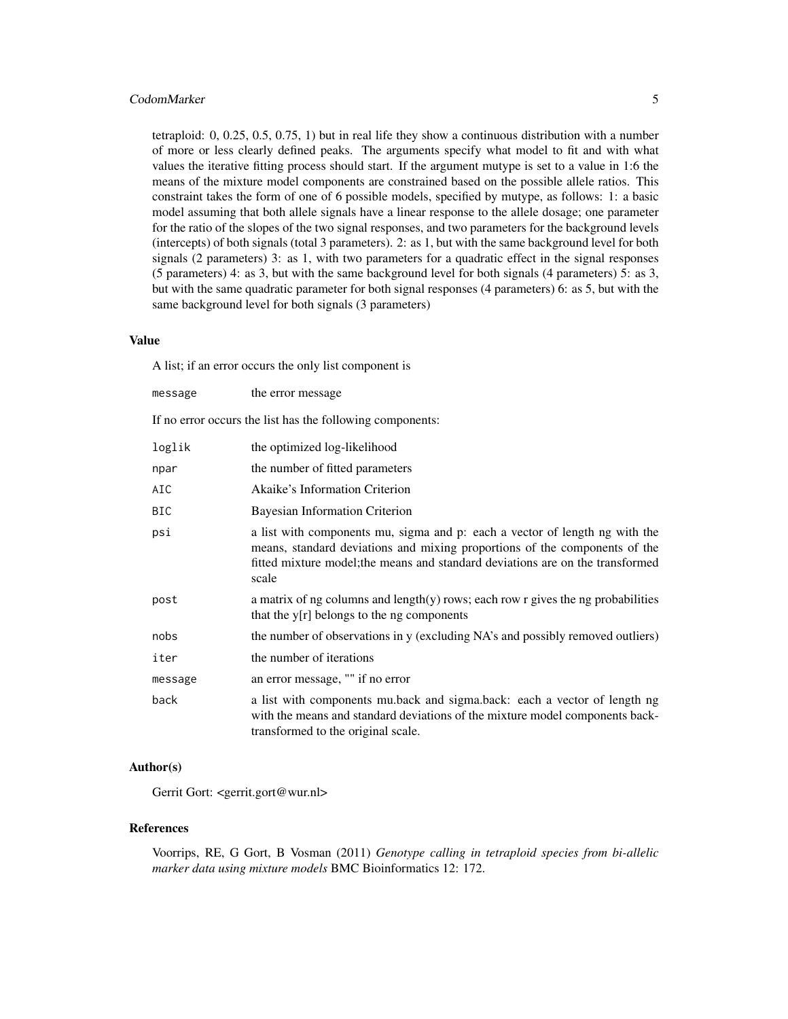## CodomMarker 5

tetraploid: 0, 0.25, 0.5, 0.75, 1) but in real life they show a continuous distribution with a number of more or less clearly defined peaks. The arguments specify what model to fit and with what values the iterative fitting process should start. If the argument mutype is set to a value in 1:6 the means of the mixture model components are constrained based on the possible allele ratios. This constraint takes the form of one of 6 possible models, specified by mutype, as follows: 1: a basic model assuming that both allele signals have a linear response to the allele dosage; one parameter for the ratio of the slopes of the two signal responses, and two parameters for the background levels (intercepts) of both signals (total 3 parameters). 2: as 1, but with the same background level for both signals (2 parameters) 3: as 1, with two parameters for a quadratic effect in the signal responses (5 parameters) 4: as 3, but with the same background level for both signals (4 parameters) 5: as 3, but with the same quadratic parameter for both signal responses (4 parameters) 6: as 5, but with the same background level for both signals (3 parameters)

## Value

A list; if an error occurs the only list component is

| message | the error message                                                                                                                                                                                                                                    |
|---------|------------------------------------------------------------------------------------------------------------------------------------------------------------------------------------------------------------------------------------------------------|
|         | If no error occurs the list has the following components:                                                                                                                                                                                            |
| loglik  | the optimized log-likelihood                                                                                                                                                                                                                         |
| npar    | the number of fitted parameters                                                                                                                                                                                                                      |
| AIC     | Akaike's Information Criterion                                                                                                                                                                                                                       |
| BIC     | <b>Bayesian Information Criterion</b>                                                                                                                                                                                                                |
| psi     | a list with components mu, sigma and p: each a vector of length ng with the<br>means, standard deviations and mixing proportions of the components of the<br>fitted mixture model; the means and standard deviations are on the transformed<br>scale |
| post    | a matrix of ng columns and length $(y)$ rows; each row r gives the ng probabilities<br>that the $y[r]$ belongs to the ng components                                                                                                                  |
| nobs    | the number of observations in y (excluding NA's and possibly removed outliers)                                                                                                                                                                       |
| iter    | the number of iterations                                                                                                                                                                                                                             |
| message | an error message, "" if no error                                                                                                                                                                                                                     |
| back    | a list with components mu.back and sigma.back: each a vector of length ng<br>with the means and standard deviations of the mixture model components back-<br>transformed to the original scale.                                                      |

## Author(s)

Gerrit Gort: <gerrit.gort@wur.nl>

#### References

Voorrips, RE, G Gort, B Vosman (2011) *Genotype calling in tetraploid species from bi-allelic marker data using mixture models* BMC Bioinformatics 12: 172.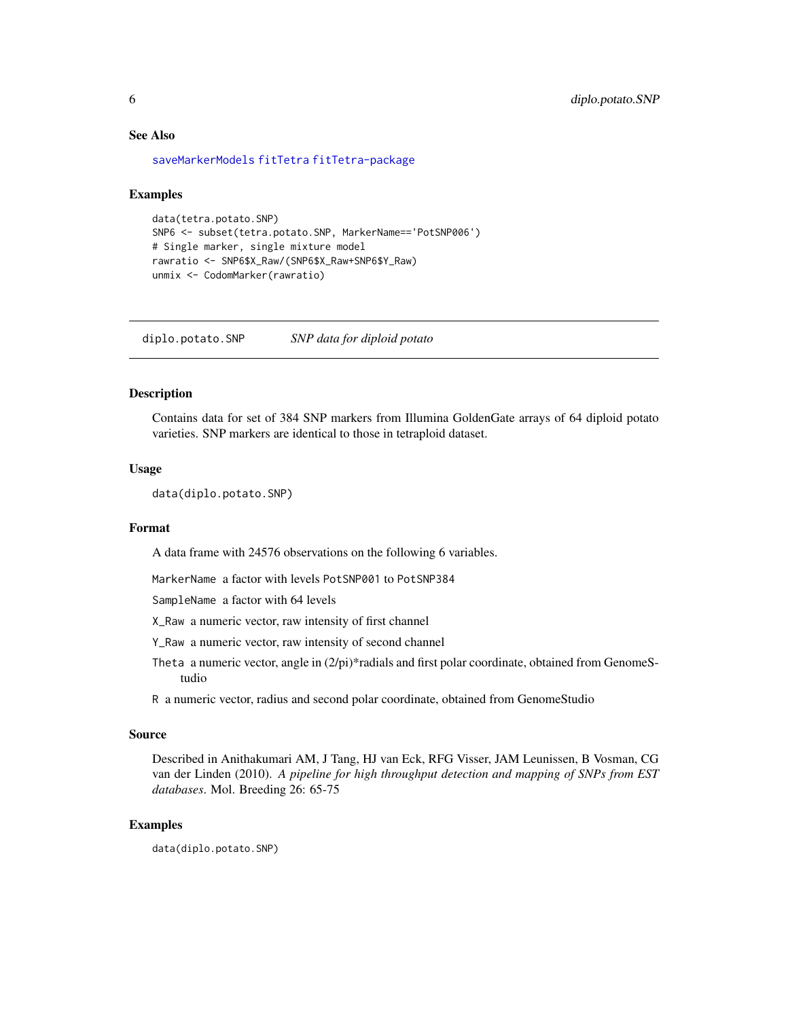## See Also

[saveMarkerModels](#page-10-1) [fitTetra](#page-6-1) [fitTetra-package](#page-1-1)

#### Examples

```
data(tetra.potato.SNP)
SNP6 <- subset(tetra.potato.SNP, MarkerName=='PotSNP006')
# Single marker, single mixture model
rawratio <- SNP6$X_Raw/(SNP6$X_Raw+SNP6$Y_Raw)
unmix <- CodomMarker(rawratio)
```
diplo.potato.SNP *SNP data for diploid potato*

## **Description**

Contains data for set of 384 SNP markers from Illumina GoldenGate arrays of 64 diploid potato varieties. SNP markers are identical to those in tetraploid dataset.

## Usage

data(diplo.potato.SNP)

## Format

A data frame with 24576 observations on the following 6 variables.

MarkerName a factor with levels PotSNP001 to PotSNP384

SampleName a factor with 64 levels

X\_Raw a numeric vector, raw intensity of first channel

Y\_Raw a numeric vector, raw intensity of second channel

Theta a numeric vector, angle in  $(2/pi)^*$  radials and first polar coordinate, obtained from GenomeStudio

R a numeric vector, radius and second polar coordinate, obtained from GenomeStudio

#### Source

Described in Anithakumari AM, J Tang, HJ van Eck, RFG Visser, JAM Leunissen, B Vosman, CG van der Linden (2010). *A pipeline for high throughput detection and mapping of SNPs from EST databases*. Mol. Breeding 26: 65-75

## Examples

data(diplo.potato.SNP)

<span id="page-5-0"></span>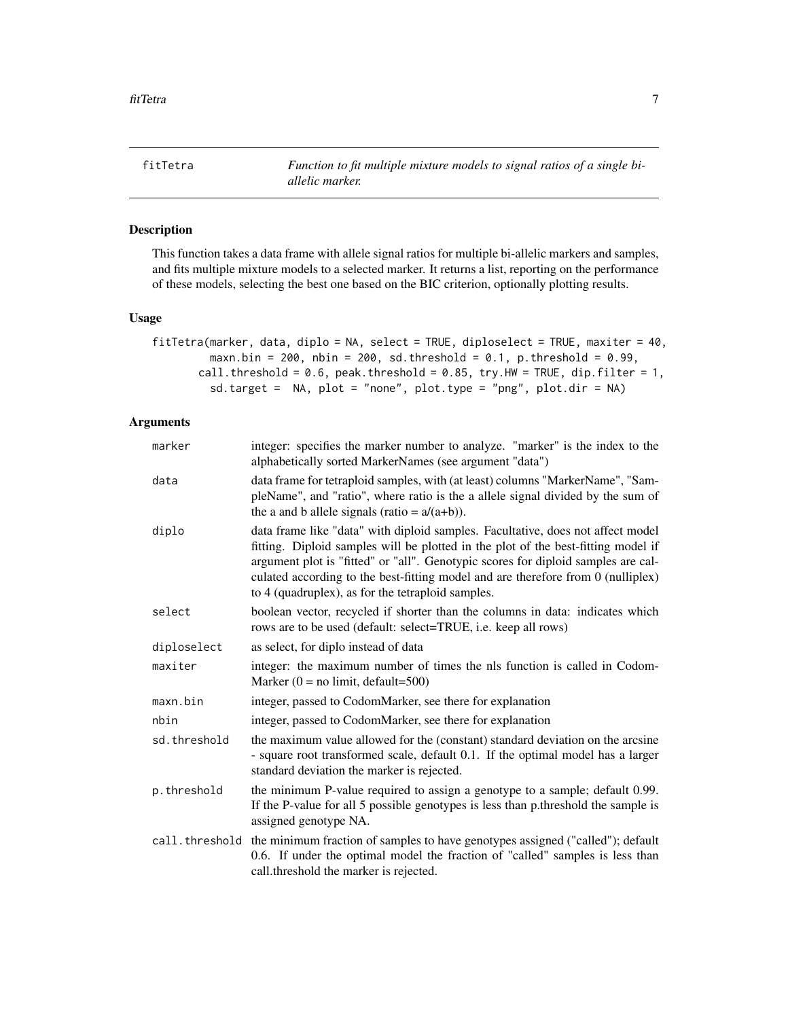<span id="page-6-1"></span><span id="page-6-0"></span>fitTetra *Function to fit multiple mixture models to signal ratios of a single biallelic marker.*

## Description

This function takes a data frame with allele signal ratios for multiple bi-allelic markers and samples, and fits multiple mixture models to a selected marker. It returns a list, reporting on the performance of these models, selecting the best one based on the BIC criterion, optionally plotting results.

## Usage

| fitTetra(marker, data, diplo = NA, select = TRUE, diploselect = TRUE, maxiter = 40, |
|-------------------------------------------------------------------------------------|
| maxn.bin = 200, nbin = 200, sd.threshold = $0.1$ , p.threshold = $0.99$ ,           |
| call.threshold = $0.6$ , peak.threshold = $0.85$ , try.HW = TRUE, dip.filter = 1,   |
| sd.target = NA, plot = "none", plot.type = "png", plot.dir = NA)                    |

## Arguments

| marker         | integer: specifies the marker number to analyze. "marker" is the index to the<br>alphabetically sorted MarkerNames (see argument "data")                                                                                                                                                                                                                                                           |
|----------------|----------------------------------------------------------------------------------------------------------------------------------------------------------------------------------------------------------------------------------------------------------------------------------------------------------------------------------------------------------------------------------------------------|
| data           | data frame for tetraploid samples, with (at least) columns "MarkerName", "Sam-<br>pleName", and "ratio", where ratio is the a allele signal divided by the sum of<br>the a and b allele signals (ratio = $a/(a+b)$ ).                                                                                                                                                                              |
| diplo          | data frame like "data" with diploid samples. Facultative, does not affect model<br>fitting. Diploid samples will be plotted in the plot of the best-fitting model if<br>argument plot is "fitted" or "all". Genotypic scores for diploid samples are cal-<br>culated according to the best-fitting model and are therefore from 0 (nulliplex)<br>to 4 (quadruplex), as for the tetraploid samples. |
| select         | boolean vector, recycled if shorter than the columns in data: indicates which<br>rows are to be used (default: select=TRUE, i.e. keep all rows)                                                                                                                                                                                                                                                    |
| diploselect    | as select, for diplo instead of data                                                                                                                                                                                                                                                                                                                                                               |
| maxiter        | integer: the maximum number of times the nls function is called in Codom-<br>Marker $(0 = no limit, default = 500)$                                                                                                                                                                                                                                                                                |
| maxn.bin       | integer, passed to CodomMarker, see there for explanation                                                                                                                                                                                                                                                                                                                                          |
| nbin           | integer, passed to CodomMarker, see there for explanation                                                                                                                                                                                                                                                                                                                                          |
| sd.threshold   | the maximum value allowed for the (constant) standard deviation on the arcsine<br>- square root transformed scale, default 0.1. If the optimal model has a larger<br>standard deviation the marker is rejected.                                                                                                                                                                                    |
| p.threshold    | the minimum P-value required to assign a genotype to a sample; default 0.99.<br>If the P-value for all 5 possible genotypes is less than p.threshold the sample is<br>assigned genotype NA.                                                                                                                                                                                                        |
| call.threshold | the minimum fraction of samples to have genotypes assigned ("called"); default<br>0.6. If under the optimal model the fraction of "called" samples is less than<br>call.threshold the marker is rejected.                                                                                                                                                                                          |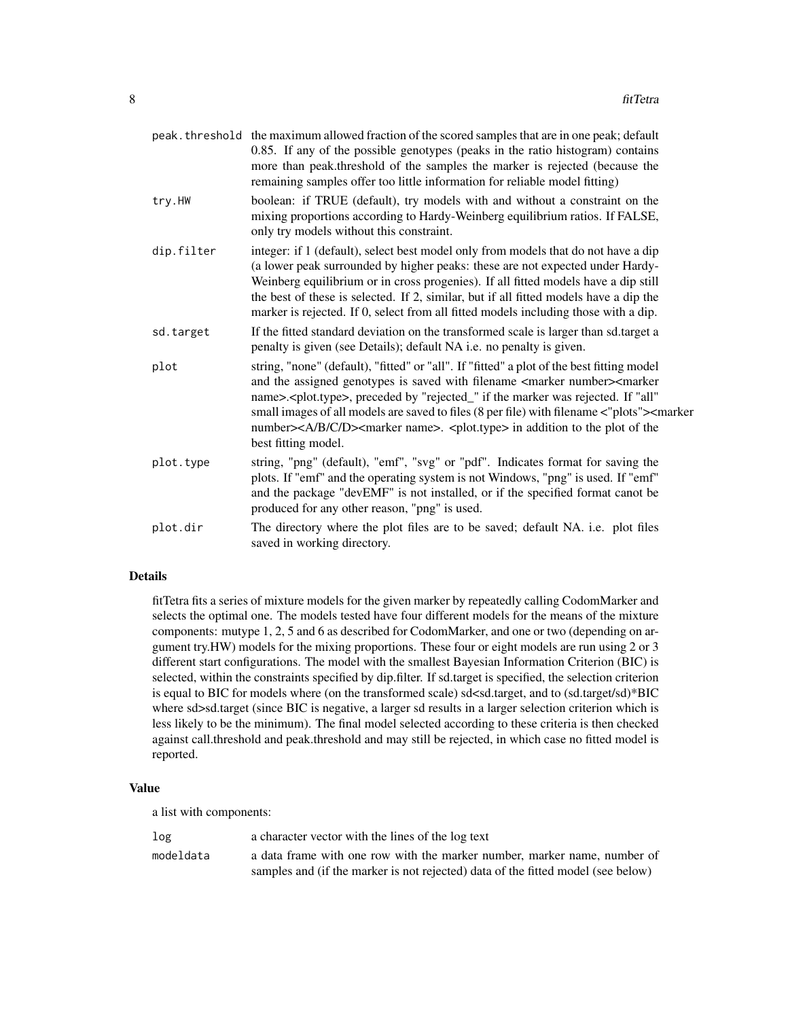|            | peak. threshold the maximum allowed fraction of the scored samples that are in one peak; default<br>0.85. If any of the possible genotypes (peaks in the ratio histogram) contains<br>more than peak.threshold of the samples the marker is rejected (because the<br>remaining samples offer too little information for reliable model fitting)                                                                                                                                                                                                              |
|------------|--------------------------------------------------------------------------------------------------------------------------------------------------------------------------------------------------------------------------------------------------------------------------------------------------------------------------------------------------------------------------------------------------------------------------------------------------------------------------------------------------------------------------------------------------------------|
| try.HW     | boolean: if TRUE (default), try models with and without a constraint on the<br>mixing proportions according to Hardy-Weinberg equilibrium ratios. If FALSE,<br>only try models without this constraint.                                                                                                                                                                                                                                                                                                                                                      |
| dip.filter | integer: if 1 (default), select best model only from models that do not have a dip<br>(a lower peak surrounded by higher peaks: these are not expected under Hardy-<br>Weinberg equilibrium or in cross progenies). If all fitted models have a dip still<br>the best of these is selected. If 2, similar, but if all fitted models have a dip the<br>marker is rejected. If 0, select from all fitted models including those with a dip.                                                                                                                    |
| sd.target  | If the fitted standard deviation on the transformed scale is larger than sd.target a<br>penalty is given (see Details); default NA i.e. no penalty is given.                                                                                                                                                                                                                                                                                                                                                                                                 |
| plot       | string, "none" (default), "fitted" or "all". If "fitted" a plot of the best fitting model<br>and the assigned genotypes is saved with filename <marker number=""><marker<br>name&gt;.<plot.type>, preceded by "rejected_" if the marker was rejected. If "all"<br/>small images of all models are saved to files (8 per file) with filename &lt;"plots"&gt;<marker<br>number&gt;<a b="" c="" d=""><marker name="">. <plot.type> in addition to the plot of the<br/>best fitting model.</plot.type></marker></a></marker<br></plot.type></marker<br></marker> |
| plot.type  | string, "png" (default), "emf", "svg" or "pdf". Indicates format for saving the<br>plots. If "emf" and the operating system is not Windows, "png" is used. If "emf"<br>and the package "devEMF" is not installed, or if the specified format canot be<br>produced for any other reason, "png" is used.                                                                                                                                                                                                                                                       |
| plot.dir   | The directory where the plot files are to be saved; default NA. i.e. plot files<br>saved in working directory.                                                                                                                                                                                                                                                                                                                                                                                                                                               |

## Details

fitTetra fits a series of mixture models for the given marker by repeatedly calling CodomMarker and selects the optimal one. The models tested have four different models for the means of the mixture components: mutype 1, 2, 5 and 6 as described for CodomMarker, and one or two (depending on argument try.HW) models for the mixing proportions. These four or eight models are run using 2 or 3 different start configurations. The model with the smallest Bayesian Information Criterion (BIC) is selected, within the constraints specified by dip.filter. If sd.target is specified, the selection criterion is equal to BIC for models where (on the transformed scale) sd<sd.target, and to (sd.target/sd)\*BIC where sd>sd.target (since BIC is negative, a larger sd results in a larger selection criterion which is less likely to be the minimum). The final model selected according to these criteria is then checked against call.threshold and peak.threshold and may still be rejected, in which case no fitted model is reported.

## Value

a list with components:

| log       | a character vector with the lines of the log text                                |
|-----------|----------------------------------------------------------------------------------|
| modeldata | a data frame with one row with the marker number, marker name, number of         |
|           | samples and (if the marker is not rejected) data of the fitted model (see below) |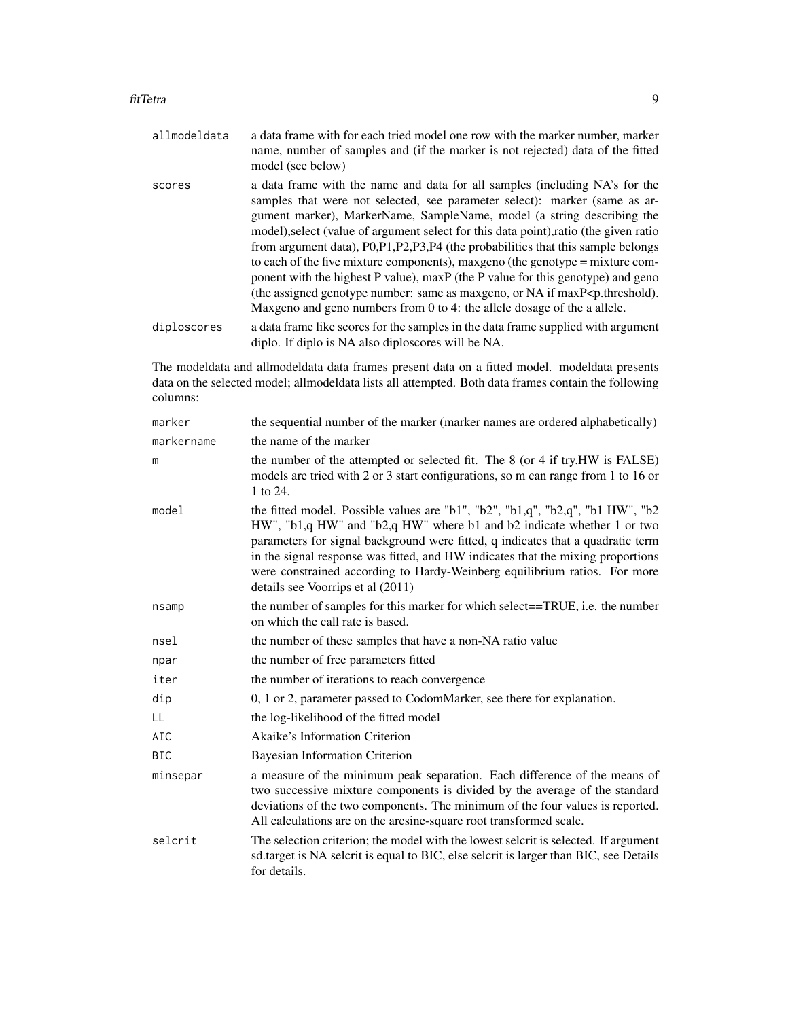- allmodeldata a data frame with for each tried model one row with the marker number, marker name, number of samples and (if the marker is not rejected) data of the fitted model (see below)
- scores a data frame with the name and data for all samples (including NA's for the samples that were not selected, see parameter select): marker (same as argument marker), MarkerName, SampleName, model (a string describing the model),select (value of argument select for this data point),ratio (the given ratio from argument data), P0,P1,P2,P3,P4 (the probabilities that this sample belongs to each of the five mixture components), maxgeno (the genotype = mixture component with the highest P value), maxP (the P value for this genotype) and geno (the assigned genotype number: same as maxgeno, or NA if maxP<p.threshold). Maxgeno and geno numbers from 0 to 4: the allele dosage of the a allele.
- diploscores a data frame like scores for the samples in the data frame supplied with argument diplo. If diplo is NA also diploscores will be NA.

The modeldata and allmodeldata data frames present data on a fitted model. modeldata presents data on the selected model; allmodeldata lists all attempted. Both data frames contain the following columns:

| marker     | the sequential number of the marker (marker names are ordered alphabetically)                                                                                                                                                                                                                                                                                                                                                                    |
|------------|--------------------------------------------------------------------------------------------------------------------------------------------------------------------------------------------------------------------------------------------------------------------------------------------------------------------------------------------------------------------------------------------------------------------------------------------------|
| markername | the name of the marker                                                                                                                                                                                                                                                                                                                                                                                                                           |
| m          | the number of the attempted or selected fit. The 8 (or 4 if try.HW is FALSE)<br>models are tried with 2 or 3 start configurations, so m can range from 1 to 16 or<br>1 to 24.                                                                                                                                                                                                                                                                    |
| model      | the fitted model. Possible values are "b1", "b2", "b1,q", "b2,q", "b1 HW", "b2<br>HW", "b1,q HW" and "b2,q HW" where b1 and b2 indicate whether 1 or two<br>parameters for signal background were fitted, q indicates that a quadratic term<br>in the signal response was fitted, and HW indicates that the mixing proportions<br>were constrained according to Hardy-Weinberg equilibrium ratios. For more<br>details see Voorrips et al (2011) |
| nsamp      | the number of samples for this marker for which select==TRUE, i.e. the number<br>on which the call rate is based.                                                                                                                                                                                                                                                                                                                                |
| nsel       | the number of these samples that have a non-NA ratio value                                                                                                                                                                                                                                                                                                                                                                                       |
| npar       | the number of free parameters fitted                                                                                                                                                                                                                                                                                                                                                                                                             |
| iter       | the number of iterations to reach convergence                                                                                                                                                                                                                                                                                                                                                                                                    |
| dip        | 0, 1 or 2, parameter passed to CodomMarker, see there for explanation.                                                                                                                                                                                                                                                                                                                                                                           |
| LL         | the log-likelihood of the fitted model                                                                                                                                                                                                                                                                                                                                                                                                           |
| AIC        | Akaike's Information Criterion                                                                                                                                                                                                                                                                                                                                                                                                                   |
| <b>BIC</b> | Bayesian Information Criterion                                                                                                                                                                                                                                                                                                                                                                                                                   |
| minsepar   | a measure of the minimum peak separation. Each difference of the means of<br>two successive mixture components is divided by the average of the standard<br>deviations of the two components. The minimum of the four values is reported.<br>All calculations are on the arcsine-square root transformed scale.                                                                                                                                  |
| selcrit    | The selection criterion; the model with the lowest selectit is selected. If argument<br>sd.target is NA selcrit is equal to BIC, else selcrit is larger than BIC, see Details<br>for details.                                                                                                                                                                                                                                                    |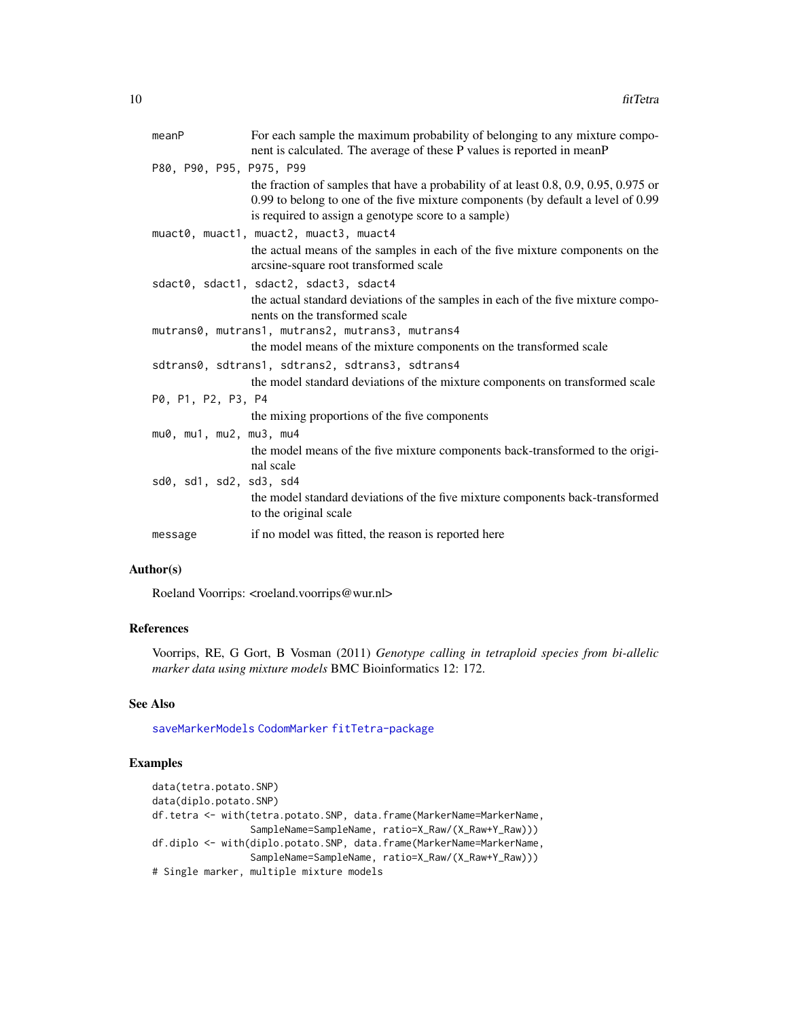<span id="page-9-0"></span>

| meanP                    | For each sample the maximum probability of belonging to any mixture compo-<br>nent is calculated. The average of these P values is reported in meanP                                                                              |
|--------------------------|-----------------------------------------------------------------------------------------------------------------------------------------------------------------------------------------------------------------------------------|
| P80, P90, P95, P975, P99 |                                                                                                                                                                                                                                   |
|                          | the fraction of samples that have a probability of at least $0.8, 0.9, 0.95, 0.975$ or<br>0.99 to belong to one of the five mixture components (by default a level of 0.99<br>is required to assign a genotype score to a sample) |
|                          | muact0, muact1, muact2, muact3, muact4                                                                                                                                                                                            |
|                          | the actual means of the samples in each of the five mixture components on the<br>arcsine-square root transformed scale                                                                                                            |
|                          | sdact0, sdact1, sdact2, sdact3, sdact4                                                                                                                                                                                            |
|                          | the actual standard deviations of the samples in each of the five mixture compo-<br>nents on the transformed scale                                                                                                                |
|                          | mutrans0, mutrans1, mutrans2, mutrans3, mutrans4                                                                                                                                                                                  |
|                          | the model means of the mixture components on the transformed scale                                                                                                                                                                |
|                          | sdtrans0, sdtrans1, sdtrans2, sdtrans3, sdtrans4                                                                                                                                                                                  |
|                          | the model standard deviations of the mixture components on transformed scale                                                                                                                                                      |
| P0, P1, P2, P3, P4       |                                                                                                                                                                                                                                   |
|                          | the mixing proportions of the five components                                                                                                                                                                                     |
| mu0, mu1, mu2, mu3, mu4  |                                                                                                                                                                                                                                   |
|                          | the model means of the five mixture components back-transformed to the origi-<br>nal scale                                                                                                                                        |
| sd0, sd1, sd2, sd3, sd4  |                                                                                                                                                                                                                                   |
|                          | the model standard deviations of the five mixture components back-transformed<br>to the original scale                                                                                                                            |
| message                  | if no model was fitted, the reason is reported here                                                                                                                                                                               |
|                          |                                                                                                                                                                                                                                   |

## Author(s)

Roeland Voorrips: <roeland.voorrips@wur.nl>

## References

Voorrips, RE, G Gort, B Vosman (2011) *Genotype calling in tetraploid species from bi-allelic marker data using mixture models* BMC Bioinformatics 12: 172.

## See Also

[saveMarkerModels](#page-10-1) [CodomMarker](#page-2-1) [fitTetra-package](#page-1-1)

## Examples

data(tetra.potato.SNP) data(diplo.potato.SNP) df.tetra <- with(tetra.potato.SNP, data.frame(MarkerName=MarkerName, SampleName=SampleName, ratio=X\_Raw/(X\_Raw+Y\_Raw))) df.diplo <- with(diplo.potato.SNP, data.frame(MarkerName=MarkerName, SampleName=SampleName, ratio=X\_Raw/(X\_Raw+Y\_Raw))) # Single marker, multiple mixture models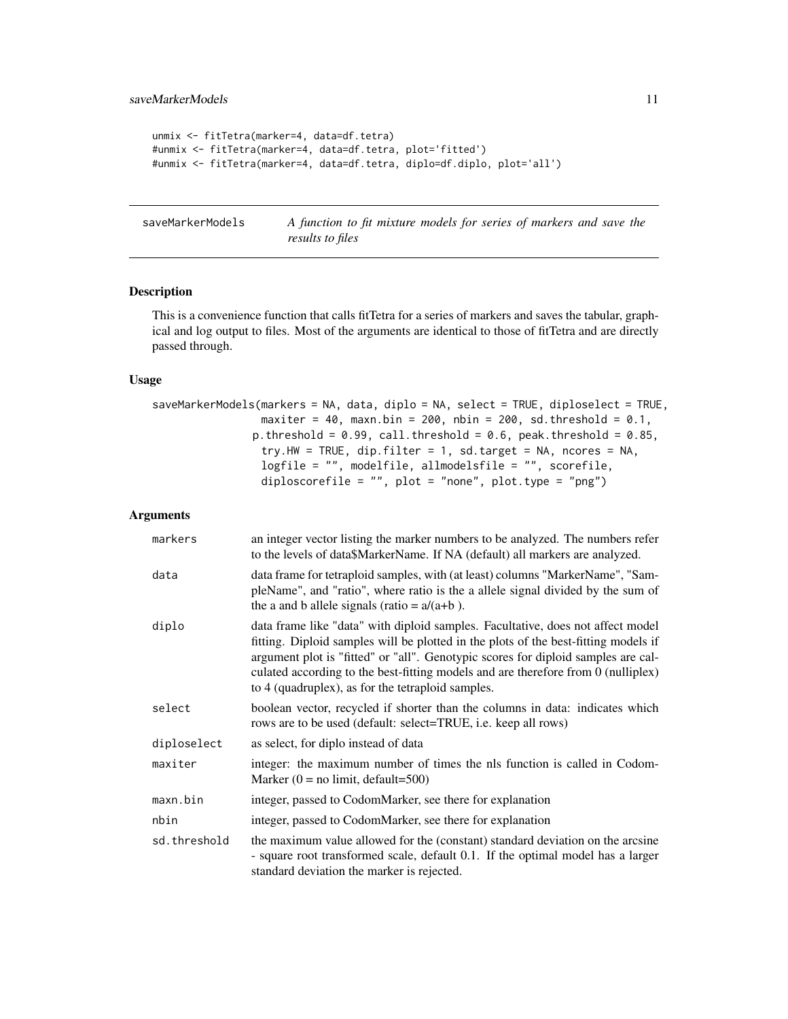```
unmix <- fitTetra(marker=4, data=df.tetra)
#unmix <- fitTetra(marker=4, data=df.tetra, plot='fitted')
#unmix <- fitTetra(marker=4, data=df.tetra, diplo=df.diplo, plot='all')
```
<span id="page-10-1"></span>saveMarkerModels *A function to fit mixture models for series of markers and save the results to files*

## Description

This is a convenience function that calls fitTetra for a series of markers and saves the tabular, graphical and log output to files. Most of the arguments are identical to those of fitTetra and are directly passed through.

## Usage

```
saveMarkerModels(markers = NA, data, diplo = NA, select = TRUE, diploselect = TRUE,
                 maxiter = 40, maxn.bin = 200, nbin = 200, sd.threshold = 0.1,
               p.threshold = 0.99, call.threshold = 0.6, peak.threshold = 0.85,
                 try.HW = TRUE, dip.filter = 1, sd.target = NA, ncores = NA,
                 logfile = "", modelfile, allmodelsfile = "", scorefile,
                 diploscorefile = "", plot = "none", plot.type = "png")
```
#### **Arguments**

| markers      | an integer vector listing the marker numbers to be analyzed. The numbers refer<br>to the levels of data\$MarkerName. If NA (default) all markers are analyzed.                                                                                                                                                                                                                                        |
|--------------|-------------------------------------------------------------------------------------------------------------------------------------------------------------------------------------------------------------------------------------------------------------------------------------------------------------------------------------------------------------------------------------------------------|
| data         | data frame for tetraploid samples, with (at least) columns "MarkerName", "Sam-<br>pleName", and "ratio", where ratio is the a allele signal divided by the sum of<br>the a and b allele signals (ratio = $a/(a+b)$ ).                                                                                                                                                                                 |
| diplo        | data frame like "data" with diploid samples. Facultative, does not affect model<br>fitting. Diploid samples will be plotted in the plots of the best-fitting models if<br>argument plot is "fitted" or "all". Genotypic scores for diploid samples are cal-<br>culated according to the best-fitting models and are therefore from 0 (nulliplex)<br>to 4 (quadruplex), as for the tetraploid samples. |
| select       | boolean vector, recycled if shorter than the columns in data: indicates which<br>rows are to be used (default: select=TRUE, i.e. keep all rows)                                                                                                                                                                                                                                                       |
| diploselect  | as select, for diplo instead of data                                                                                                                                                                                                                                                                                                                                                                  |
| maxiter      | integer: the maximum number of times the nls function is called in Codom-<br>Marker $(0 = no limit, default = 500)$                                                                                                                                                                                                                                                                                   |
| maxn.bin     | integer, passed to CodomMarker, see there for explanation                                                                                                                                                                                                                                                                                                                                             |
| nbin         | integer, passed to CodomMarker, see there for explanation                                                                                                                                                                                                                                                                                                                                             |
| sd.threshold | the maximum value allowed for the (constant) standard deviation on the arcsine<br>- square root transformed scale, default 0.1. If the optimal model has a larger<br>standard deviation the marker is rejected.                                                                                                                                                                                       |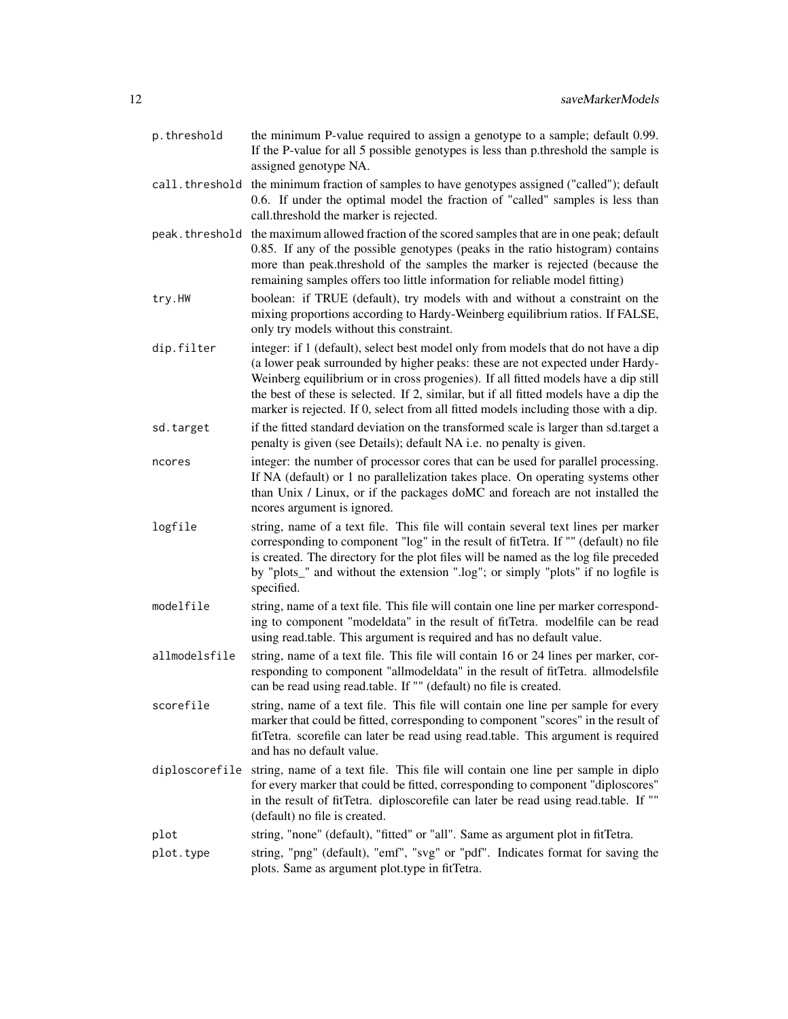- p.threshold the minimum P-value required to assign a genotype to a sample; default 0.99. If the P-value for all 5 possible genotypes is less than p.threshold the sample is assigned genotype NA.
- call.threshold the minimum fraction of samples to have genotypes assigned ("called"); default 0.6. If under the optimal model the fraction of "called" samples is less than call.threshold the marker is rejected.
- peak.threshold the maximum allowed fraction of the scored samples that are in one peak; default 0.85. If any of the possible genotypes (peaks in the ratio histogram) contains more than peak.threshold of the samples the marker is rejected (because the remaining samples offers too little information for reliable model fitting)
- try.HW boolean: if TRUE (default), try models with and without a constraint on the mixing proportions according to Hardy-Weinberg equilibrium ratios. If FALSE, only try models without this constraint.
- dip.filter integer: if 1 (default), select best model only from models that do not have a dip (a lower peak surrounded by higher peaks: these are not expected under Hardy-Weinberg equilibrium or in cross progenies). If all fitted models have a dip still the best of these is selected. If 2, similar, but if all fitted models have a dip the marker is rejected. If 0, select from all fitted models including those with a dip.
- sd.target if the fitted standard deviation on the transformed scale is larger than sd.target a penalty is given (see Details); default NA i.e. no penalty is given.
- ncores integer: the number of processor cores that can be used for parallel processing. If NA (default) or 1 no parallelization takes place. On operating systems other than Unix / Linux, or if the packages doMC and foreach are not installed the ncores argument is ignored.
- logfile string, name of a text file. This file will contain several text lines per marker corresponding to component "log" in the result of fitTetra. If "" (default) no file is created. The directory for the plot files will be named as the log file preceded by "plots\_" and without the extension ".log"; or simply "plots" if no logfile is specified.
- modelfile string, name of a text file. This file will contain one line per marker corresponding to component "modeldata" in the result of fitTetra. modelfile can be read using read.table. This argument is required and has no default value.
- allmodelsfile string, name of a text file. This file will contain 16 or 24 lines per marker, corresponding to component "allmodeldata" in the result of fitTetra. allmodelsfile can be read using read.table. If "" (default) no file is created.
- scorefile string, name of a text file. This file will contain one line per sample for every marker that could be fitted, corresponding to component "scores" in the result of fitTetra. scorefile can later be read using read.table. This argument is required and has no default value.
- diploscorefile string, name of a text file. This file will contain one line per sample in diplo for every marker that could be fitted, corresponding to component "diploscores" in the result of fitTetra. diploscorefile can later be read using read.table. If "" (default) no file is created.
- plot string, "none" (default), "fitted" or "all". Same as argument plot in fitTetra.
- plot.type string, "png" (default), "emf", "svg" or "pdf". Indicates format for saving the plots. Same as argument plot.type in fitTetra.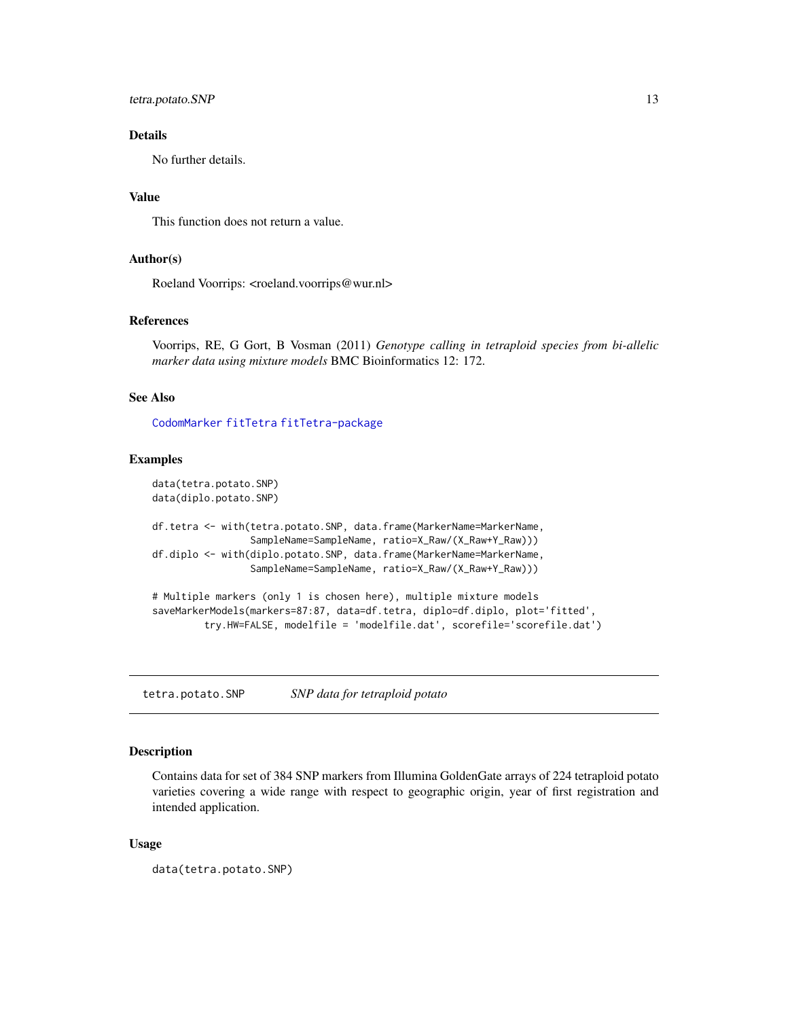<span id="page-12-0"></span>tetra.potato.SNP 13

## Details

No further details.

## Value

This function does not return a value.

## Author(s)

Roeland Voorrips: <roeland.voorrips@wur.nl>

#### References

Voorrips, RE, G Gort, B Vosman (2011) *Genotype calling in tetraploid species from bi-allelic marker data using mixture models* BMC Bioinformatics 12: 172.

## See Also

[CodomMarker](#page-2-1) [fitTetra](#page-6-1) [fitTetra-package](#page-1-1)

## Examples

```
data(tetra.potato.SNP)
data(diplo.potato.SNP)
```

```
df.tetra <- with(tetra.potato.SNP, data.frame(MarkerName=MarkerName,
                 SampleName=SampleName, ratio=X_Raw/(X_Raw+Y_Raw)))
df.diplo <- with(diplo.potato.SNP, data.frame(MarkerName=MarkerName,
                 SampleName=SampleName, ratio=X_Raw/(X_Raw+Y_Raw)))
```

```
# Multiple markers (only 1 is chosen here), multiple mixture models
saveMarkerModels(markers=87:87, data=df.tetra, diplo=df.diplo, plot='fitted',
         try.HW=FALSE, modelfile = 'modelfile.dat', scorefile='scorefile.dat')
```
tetra.potato.SNP *SNP data for tetraploid potato*

#### Description

Contains data for set of 384 SNP markers from Illumina GoldenGate arrays of 224 tetraploid potato varieties covering a wide range with respect to geographic origin, year of first registration and intended application.

### Usage

```
data(tetra.potato.SNP)
```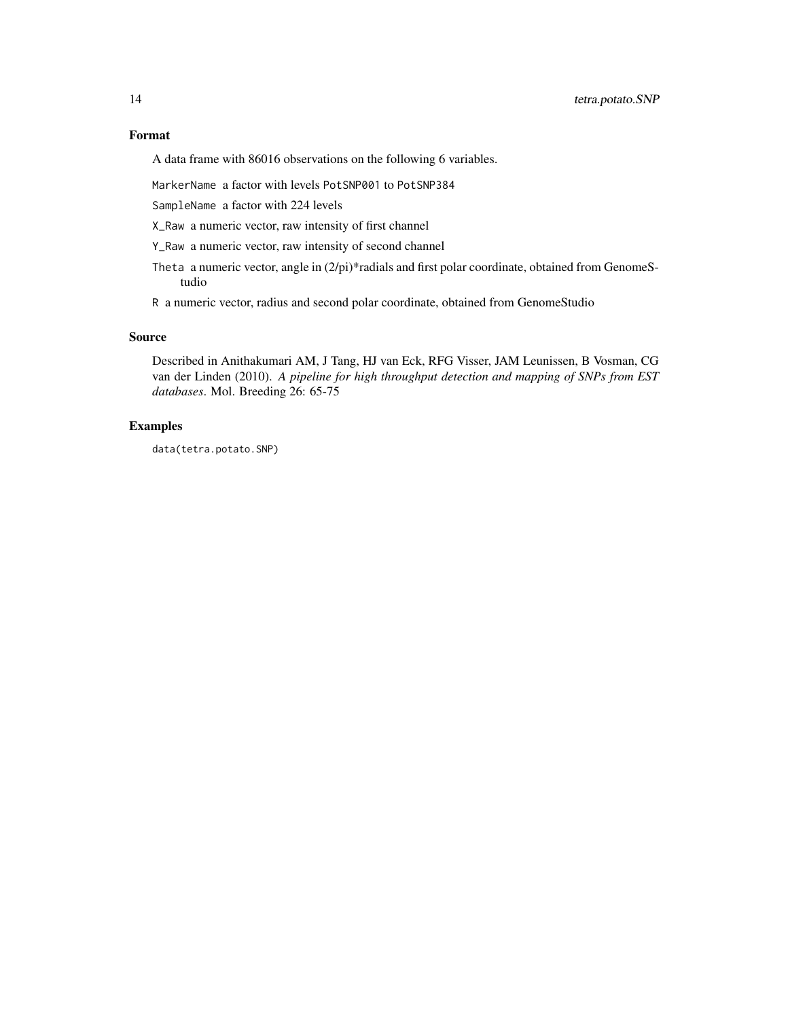## Format

A data frame with 86016 observations on the following 6 variables.

MarkerName a factor with levels PotSNP001 to PotSNP384

SampleName a factor with 224 levels

X\_Raw a numeric vector, raw intensity of first channel

Y\_Raw a numeric vector, raw intensity of second channel

Theta a numeric vector, angle in (2/pi)\*radials and first polar coordinate, obtained from GenomeStudio

R a numeric vector, radius and second polar coordinate, obtained from GenomeStudio

## Source

Described in Anithakumari AM, J Tang, HJ van Eck, RFG Visser, JAM Leunissen, B Vosman, CG van der Linden (2010). *A pipeline for high throughput detection and mapping of SNPs from EST databases*. Mol. Breeding 26: 65-75

## Examples

data(tetra.potato.SNP)